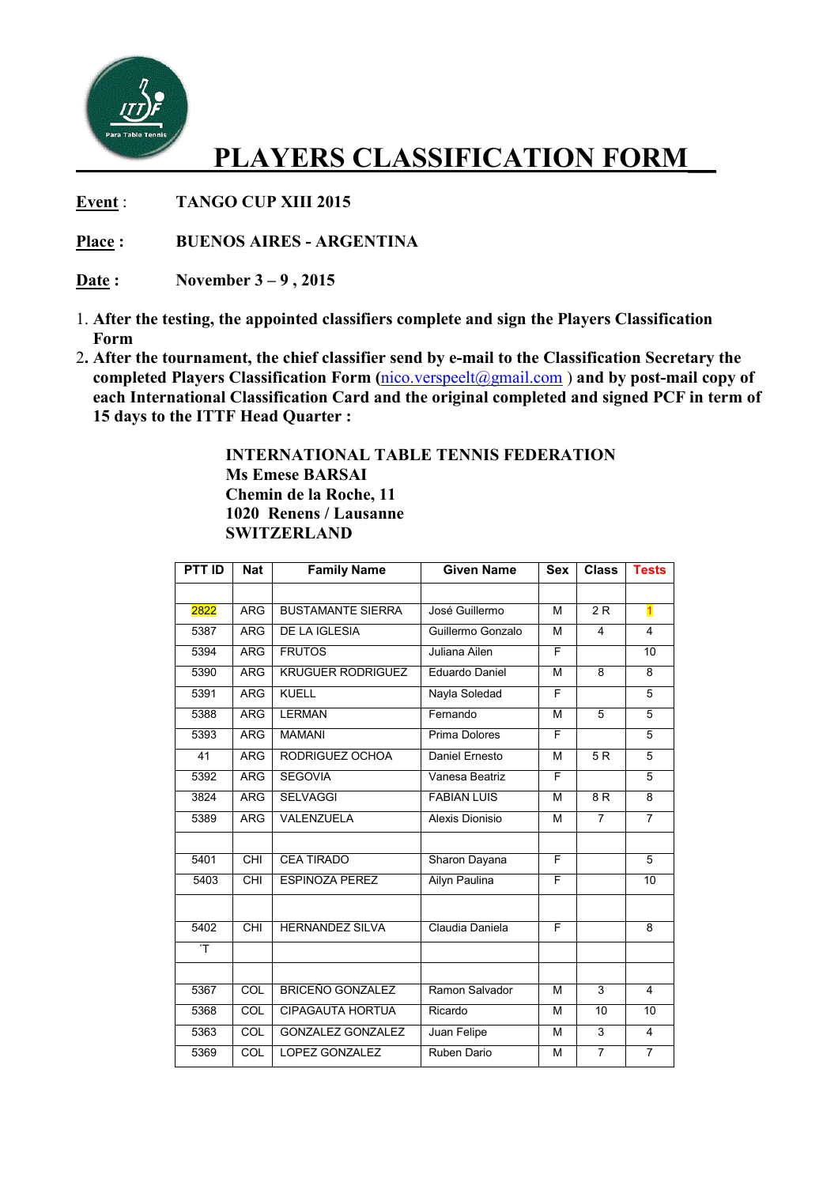

## **PLAYERS CLASSIFICATION FORM\_\_**

**Event** : **TANGO CUP XIII 2015** 

**Place : BUENOS AIRES - ARGENTINA** 

**Date : November 3 – 9 , 2015** 

- 1. **After the testing, the appointed classifiers complete and sign the Players Classification Form**
- 2**. After the tournament, the chief classifier send by e-mail to the Classification Secretary the completed Players Classification Form (**nico.verspeelt@gmail.com ) **and by post-mail copy of each International Classification Card and the original completed and signed PCF in term of 15 days to the ITTF Head Quarter :**

 **INTERNATIONAL TABLE TENNIS FEDERATION Ms Emese BARSAI Chemin de la Roche, 11 1020 Renens / Lausanne SWITZERLAND** 

| <b>PTT ID</b> | <b>Nat</b>      | <b>Family Name</b>       | <b>Given Name</b>  | <b>Sex</b> | <b>Class</b>    | <b>Tests</b>            |
|---------------|-----------------|--------------------------|--------------------|------------|-----------------|-------------------------|
|               |                 |                          |                    |            |                 |                         |
| 2822          | <b>ARG</b>      | <b>BUSTAMANTE SIERRA</b> | José Guillermo     | м          | 2R              | $\overline{\mathbf{1}}$ |
| 5387          | <b>ARG</b>      | <b>DE LA IGLESIA</b>     | Guillermo Gonzalo  | M          | 4               | 4                       |
| 5394          | <b>ARG</b>      | <b>FRUTOS</b>            | Juliana Ailen      | F          |                 | 10                      |
| 5390          | <b>ARG</b>      | <b>KRUGUER RODRIGUEZ</b> | Eduardo Daniel     | M          | 8               | 8                       |
| 5391          | <b>ARG</b>      | <b>KUELL</b>             | Nayla Soledad      | F          |                 | 5                       |
| 5388          | <b>ARG</b>      | <b>LERMAN</b>            | Fernando           | M          | $\overline{5}$  | 5                       |
| 5393          | <b>ARG</b>      | <b>MAMANI</b>            | Prima Dolores      | F          |                 | $\overline{5}$          |
| 41            | <b>ARG</b>      | RODRIGUEZ OCHOA          | Daniel Ernesto     | M          | $\overline{5R}$ | $\overline{5}$          |
| 5392          | <b>ARG</b>      | <b>SEGOVIA</b>           | Vanesa Beatriz     | F          |                 | 5                       |
| 3824          | <b>ARG</b>      | <b>SELVAGGI</b>          | <b>FABIAN LUIS</b> | M          | $\overline{8R}$ | $\overline{8}$          |
| 5389          | <b>ARG</b>      | VALENZUELA               | Alexis Dionisio    | М          | $\overline{7}$  | $\overline{7}$          |
|               |                 |                          |                    |            |                 |                         |
| 5401          | $\overline{CH}$ | <b>CEA TIRADO</b>        | Sharon Dayana      | F          |                 | 5                       |
| 5403          | <b>CHI</b>      | <b>ESPINOZA PEREZ</b>    | Ailyn Paulina      | F          |                 | 10                      |
|               |                 |                          |                    |            |                 |                         |
| 5402          | $\overline{CH}$ | <b>HERNANDEZ SILVA</b>   | Claudia Daniela    | F          |                 | 8                       |
| T             |                 |                          |                    |            |                 |                         |
|               |                 |                          |                    |            |                 |                         |
| 5367          | COL             | <b>BRICEÑO GONZALEZ</b>  | Ramon Salvador     | м          | 3               | 4                       |
| 5368          | COL             | <b>CIPAGAUTA HORTUA</b>  | Ricardo            | м          | 10              | 10                      |
| 5363          | COL             | <b>GONZALEZ GONZALEZ</b> | Juan Felipe        | М          | 3               | $\overline{4}$          |
| 5369          | COL             | <b>LOPEZ GONZALEZ</b>    | Ruben Dario        | М          | $\overline{7}$  | $\overline{7}$          |